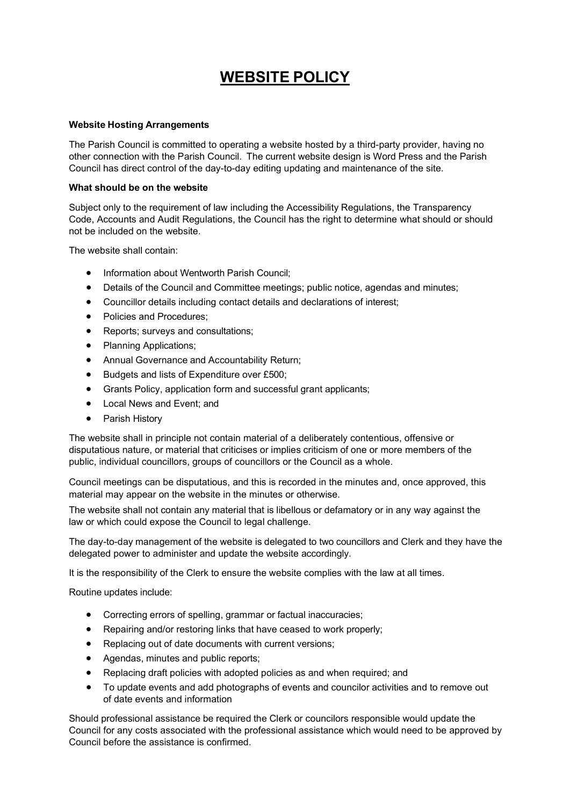## WEBSITE POLICY

## Website Hosting Arrangements

The Parish Council is committed to operating a website hosted by a third-party provider, having no other connection with the Parish Council. The current website design is Word Press and the Parish Council has direct control of the day-to-day editing updating and maintenance of the site.

## What should be on the website

Subject only to the requirement of law including the Accessibility Regulations, the Transparency Code, Accounts and Audit Regulations, the Council has the right to determine what should or should not be included on the website.

The website shall contain:

- Information about Wentworth Parish Council;
- Details of the Council and Committee meetings; public notice, agendas and minutes;
- Councillor details including contact details and declarations of interest;
- Policies and Procedures;
- Reports; surveys and consultations;
- Planning Applications:
- Annual Governance and Accountability Return;
- Budgets and lists of Expenditure over £500;
- Grants Policy, application form and successful grant applicants;
- Local News and Event; and
- Parish History

The website shall in principle not contain material of a deliberately contentious, offensive or disputatious nature, or material that criticises or implies criticism of one or more members of the public, individual councillors, groups of councillors or the Council as a whole.

Council meetings can be disputatious, and this is recorded in the minutes and, once approved, this material may appear on the website in the minutes or otherwise.

The website shall not contain any material that is libellous or defamatory or in any way against the law or which could expose the Council to legal challenge.

The day-to-day management of the website is delegated to two councillors and Clerk and they have the delegated power to administer and update the website accordingly.

It is the responsibility of the Clerk to ensure the website complies with the law at all times.

Routine updates include:

- Correcting errors of spelling, grammar or factual inaccuracies;
- Repairing and/or restoring links that have ceased to work properly:
- Replacing out of date documents with current versions;
- Agendas, minutes and public reports;
- Replacing draft policies with adopted policies as and when required; and
- To update events and add photographs of events and councilor activities and to remove out of date events and information

Should professional assistance be required the Clerk or councilors responsible would update the Council for any costs associated with the professional assistance which would need to be approved by Council before the assistance is confirmed.